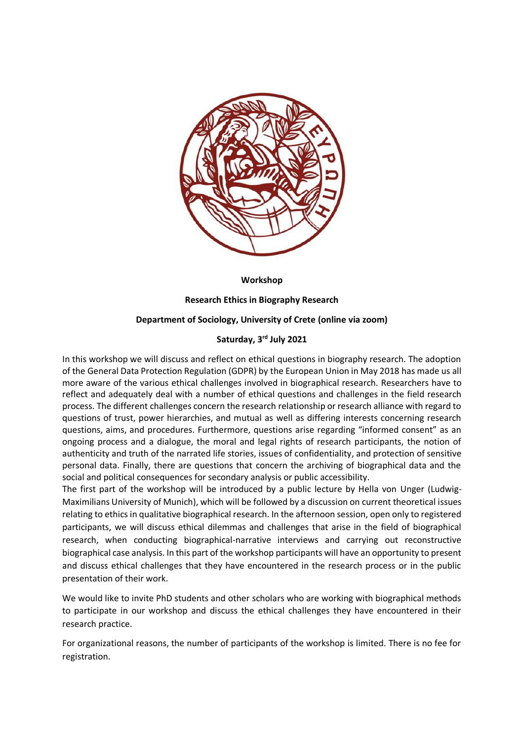

**Workshop**

### **Research Ethics in Biography Research**

# **Department of Sociology, University of Crete (online via zoom)**

# **Saturday, 3rd July 2021**

In this workshop we will discuss and reflect on ethical questions in biography research. The adoption of the General Data Protection Regulation (GDPR) by the European Union in May 2018 has made us all more aware of the various ethical challenges involved in biographical research. Researchers have to reflect and adequately deal with a number of ethical questions and challenges in the field research process. The different challenges concern the research relationship or research alliance with regard to questions of trust, power hierarchies, and mutual as well as differing interests concerning research questions, aims, and procedures. Furthermore, questions arise regarding "informed consent" as an ongoing process and a dialogue, the moral and legal rights of research participants, the notion of authenticity and truth of the narrated life stories, issues of confidentiality, and protection of sensitive personal data. Finally, there are questions that concern the archiving of biographical data and the social and political consequences for secondary analysis or public accessibility.

The first part of the workshop will be introduced by a public lecture by Hella von Unger (Ludwig-Maximilians University of Munich), which will be followed by a discussion on current theoretical issues relating to ethics in qualitative biographical research. In the afternoon session, open only to registered participants, we will discuss ethical dilemmas and challenges that arise in the field of biographical research, when conducting biographical-narrative interviews and carrying out reconstructive biographical case analysis. In this part of the workshop participants will have an opportunity to present and discuss ethical challenges that they have encountered in the research process or in the public presentation of their work.

We would like to invite PhD students and other scholars who are working with biographical methods to participate in our workshop and discuss the ethical challenges they have encountered in their research practice.

For organizational reasons, the number of participants of the workshop is limited. There is no fee for registration.